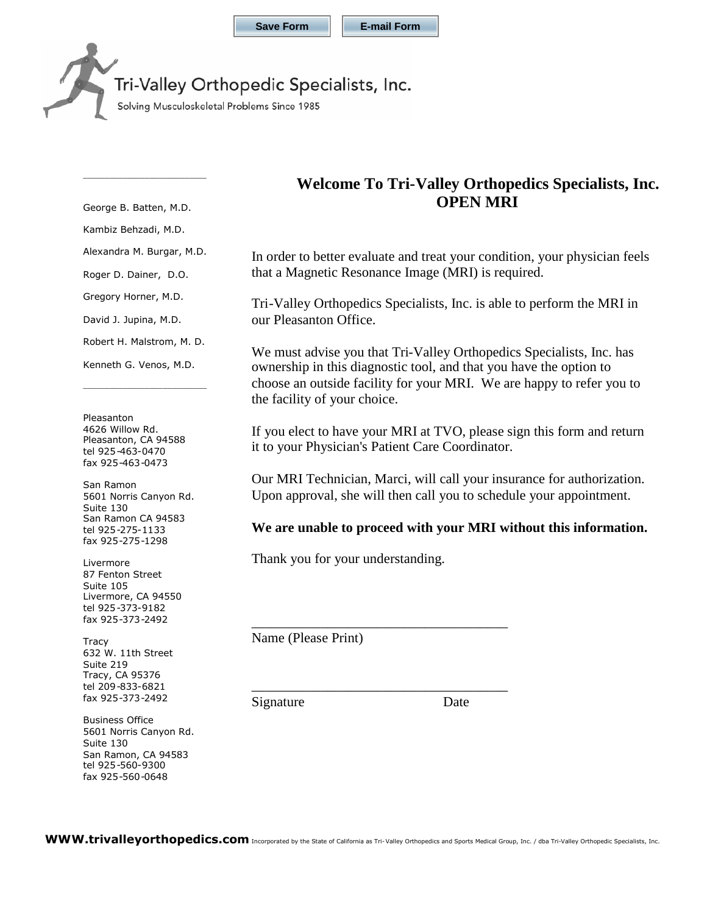## Tri-Valley Orthopedic Specialists, Inc.

Solving Musculoskeletal Problems Since 1985

George B. Batten, M.D.

\_\_\_\_\_\_\_\_\_\_\_\_\_\_\_\_\_\_\_\_\_\_\_\_\_\_\_\_

Kambiz Behzadi, M.D.

Alexandra M. Burgar, M.D.

Roger D. Dainer, D.O.

Gregory Horner, M.D.

David J. Jupina, M.D.

Robert H. Malstrom, M. D.

Kenneth G. Venos, M.D.

\_\_\_\_\_\_\_\_\_\_\_\_\_\_\_\_\_\_\_\_\_\_\_\_\_\_\_\_

Pleasanton 4626 Willow Rd. Pleasanton, CA 94588 tel 925-463-0470 fax 925-463-0473

San Ramon 5601 Norris Canyon Rd. Suite 130 San Ramon CA 94583 tel 925-275-1133 fax 925-275-1298

Livermore 87 Fenton Street Suite 105 Livermore, CA 94550 tel 925-373-9182 fax 925-373-2492

**Tracy** 632 W. 11th Street Suite 219 Tracy, CA 95376 tel 209-833-6821 fax 925-373-2492

Business Office 5601 Norris Canyon Rd. Suite 130 San Ramon, CA 94583 tel 925-560-9300 fax 925-560-0648

## **Welcome To Tri-Valley Orthopedics Specialists, Inc. OPEN MRI**

In order to better evaluate and treat your condition, your physician feels that a Magnetic Resonance Image (MRI) is required.

Tri-Valley Orthopedics Specialists, Inc. is able to perform the MRI in our Pleasanton Office.

We must advise you that Tri-Valley Orthopedics Specialists, Inc. has ownership in this diagnostic tool, and that you have the option to choose an outside facility for your MRI. We are happy to refer you to the facility of your choice.

If you elect to have your MRI at TVO, please sign this form and return it to your Physician's Patient Care Coordinator.

Our MRI Technician, Marci, will call your insurance for authorization. Upon approval, she will then call you to schedule your appointment.

### **We are unable to proceed with your MRI without this information.**

Thank you for your understanding.

\_\_\_\_\_\_\_\_\_\_\_\_\_\_\_\_\_\_\_\_\_\_\_\_\_\_\_\_\_\_\_\_\_\_\_\_\_

\_\_\_\_\_\_\_\_\_\_\_\_\_\_\_\_\_\_\_\_\_\_\_\_\_\_\_\_\_\_\_\_\_\_\_\_\_

Name (Please Print)

Signature Date

WWW.trivalleyorthopedics.com Incorporated by the State of California as Tri-Valley Orthopedics and Sports Medical Group, Inc. / dba Tri-Valley Orthopedic Specialists, Inc.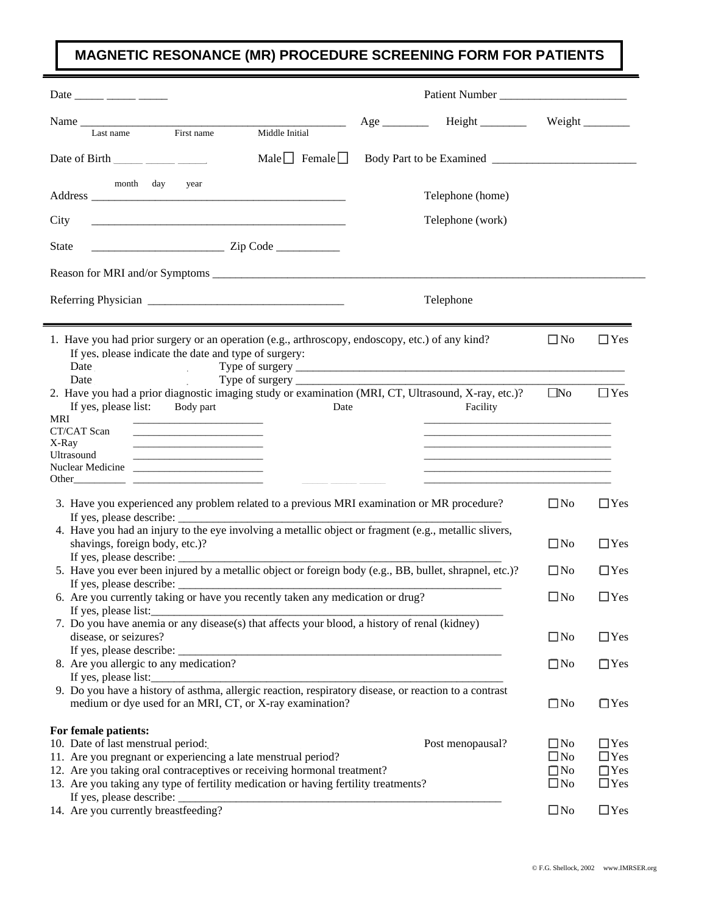# **MAGNETIC RESONANCE (MR) PROCEDURE SCREENING FORM FOR PATIENTS**

Ė

| Date _____ ____ _____                                                                                                                                                                                                                                                                                                                                                                                 | Patient Number   |              |               |  |  |  |
|-------------------------------------------------------------------------------------------------------------------------------------------------------------------------------------------------------------------------------------------------------------------------------------------------------------------------------------------------------------------------------------------------------|------------------|--------------|---------------|--|--|--|
|                                                                                                                                                                                                                                                                                                                                                                                                       |                  | Weight       |               |  |  |  |
| Middle Initial<br>First name<br>Last name                                                                                                                                                                                                                                                                                                                                                             |                  |              |               |  |  |  |
| Male $\Box$ Female $\Box$<br>Date of Birth $\frac{1}{\frac{1}{2}}$ $\frac{1}{\frac{1}{2}}$                                                                                                                                                                                                                                                                                                            |                  |              |               |  |  |  |
| month day<br>year                                                                                                                                                                                                                                                                                                                                                                                     | Telephone (home) |              |               |  |  |  |
| City                                                                                                                                                                                                                                                                                                                                                                                                  | Telephone (work) |              |               |  |  |  |
| $\frac{1}{2}$ $\frac{1}{2}$ $\frac{1}{2}$ $\frac{1}{2}$ $\frac{1}{2}$ $\frac{1}{2}$ $\frac{1}{2}$ $\frac{1}{2}$ $\frac{1}{2}$ $\frac{1}{2}$ $\frac{1}{2}$ $\frac{1}{2}$ $\frac{1}{2}$ $\frac{1}{2}$ $\frac{1}{2}$ $\frac{1}{2}$ $\frac{1}{2}$ $\frac{1}{2}$ $\frac{1}{2}$ $\frac{1}{2}$ $\frac{1}{2}$ $\frac{1}{2}$<br><b>State</b>                                                                   |                  |              |               |  |  |  |
|                                                                                                                                                                                                                                                                                                                                                                                                       |                  |              |               |  |  |  |
|                                                                                                                                                                                                                                                                                                                                                                                                       | Telephone        |              |               |  |  |  |
|                                                                                                                                                                                                                                                                                                                                                                                                       |                  |              |               |  |  |  |
| 1. Have you had prior surgery or an operation (e.g., arthroscopy, endoscopy, etc.) of any kind?                                                                                                                                                                                                                                                                                                       |                  | $\Box$ No    | $\Box$ Yes    |  |  |  |
| If yes, please indicate the date and type of surgery:                                                                                                                                                                                                                                                                                                                                                 |                  |              |               |  |  |  |
| Date                                                                                                                                                                                                                                                                                                                                                                                                  |                  |              |               |  |  |  |
| 2. Have you had a prior diagnostic imaging study or examination (MRI, CT, Ultrasound, X-ray, etc.)?                                                                                                                                                                                                                                                                                                   |                  | $\square$ No | $\Box$ Yes    |  |  |  |
| If yes, please list:<br>Body part<br>Date                                                                                                                                                                                                                                                                                                                                                             | Facility         |              |               |  |  |  |
| MRI<br>the control of the control of the control of                                                                                                                                                                                                                                                                                                                                                   |                  |              |               |  |  |  |
| CT/CAT Scan                                                                                                                                                                                                                                                                                                                                                                                           |                  |              |               |  |  |  |
| X-Ray<br><u> 1989 - Johann John Stone, market fan it ferstjer fan it ferstjer fan it ferstjer fan it ferstjer fan it fers</u><br>Ultrasound                                                                                                                                                                                                                                                           |                  |              |               |  |  |  |
| <u> 1989 - Johann John Stein, markin fan it ferstjer fan it ferstjer fan it ferstjer fan it ferstjer fan it fers</u>                                                                                                                                                                                                                                                                                  |                  |              |               |  |  |  |
|                                                                                                                                                                                                                                                                                                                                                                                                       |                  |              |               |  |  |  |
|                                                                                                                                                                                                                                                                                                                                                                                                       |                  |              |               |  |  |  |
| 3. Have you experienced any problem related to a previous MRI examination or MR procedure?                                                                                                                                                                                                                                                                                                            |                  | $\square$ No | $\Box$ Yes    |  |  |  |
|                                                                                                                                                                                                                                                                                                                                                                                                       |                  |              |               |  |  |  |
| 4. Have you had an injury to the eye involving a metallic object or fragment (e.g., metallic slivers,                                                                                                                                                                                                                                                                                                 |                  |              |               |  |  |  |
| shavings, foreign body, etc.)?                                                                                                                                                                                                                                                                                                                                                                        |                  | $\square$ No | $\Box$ Yes    |  |  |  |
| If yes, please describe: $\frac{1}{\sqrt{1-\frac{1}{2}}}\left\{ \frac{1}{2}, \frac{1}{2}, \frac{1}{2}, \frac{1}{2}, \frac{1}{2}, \frac{1}{2}, \frac{1}{2}, \frac{1}{2}, \frac{1}{2}, \frac{1}{2}, \frac{1}{2}, \frac{1}{2}, \frac{1}{2}, \frac{1}{2}, \frac{1}{2}, \frac{1}{2}, \frac{1}{2}, \frac{1}{2}, \frac{1}{2}, \frac{1}{2}, \frac{1}{2}, \frac{1}{2}, \frac{1}{2}, \frac{1}{2}, \frac{1}{2},$ |                  |              |               |  |  |  |
| 5. Have you ever been injured by a metallic object or foreign body (e.g., BB, bullet, shrapnel, etc.)?                                                                                                                                                                                                                                                                                                |                  | $\Box$ No    | $\Box$ Yes    |  |  |  |
|                                                                                                                                                                                                                                                                                                                                                                                                       |                  |              |               |  |  |  |
| 6. Are you currently taking or have you recently taken any medication or drug?                                                                                                                                                                                                                                                                                                                        |                  | $\square$ No | $\square$ Yes |  |  |  |
| If yes, please list:                                                                                                                                                                                                                                                                                                                                                                                  |                  |              |               |  |  |  |
| 7. Do you have anemia or any disease(s) that affects your blood, a history of renal (kidney)                                                                                                                                                                                                                                                                                                          |                  |              |               |  |  |  |
| disease, or seizures?                                                                                                                                                                                                                                                                                                                                                                                 |                  | $\square$ No | $\Box$ Yes    |  |  |  |
|                                                                                                                                                                                                                                                                                                                                                                                                       |                  |              |               |  |  |  |
| 8. Are you allergic to any medication?                                                                                                                                                                                                                                                                                                                                                                |                  | $\Box$ No    | $\Box$ Yes    |  |  |  |
| If yes, please list:                                                                                                                                                                                                                                                                                                                                                                                  |                  |              |               |  |  |  |
| 9. Do you have a history of asthma, allergic reaction, respiratory disease, or reaction to a contrast                                                                                                                                                                                                                                                                                                 |                  |              |               |  |  |  |
| medium or dye used for an MRI, CT, or X-ray examination?                                                                                                                                                                                                                                                                                                                                              |                  | $\square$ No | $\Box$ Yes    |  |  |  |
| For female patients:                                                                                                                                                                                                                                                                                                                                                                                  |                  |              |               |  |  |  |
| 10. Date of last menstrual period:                                                                                                                                                                                                                                                                                                                                                                    | Post menopausal? | $\square$ No | $\Box$ Yes    |  |  |  |
| 11. Are you pregnant or experiencing a late menstrual period?                                                                                                                                                                                                                                                                                                                                         | $\square$ No     | $\Box$ Yes   |               |  |  |  |
| 12. Are you taking oral contraceptives or receiving hormonal treatment?                                                                                                                                                                                                                                                                                                                               | $\Box$ No        | $\Box$ Yes   |               |  |  |  |
| 13. Are you taking any type of fertility medication or having fertility treatments?                                                                                                                                                                                                                                                                                                                   | $\square$ No     | $\Box$ Yes   |               |  |  |  |
| If yes, please describe:                                                                                                                                                                                                                                                                                                                                                                              |                  |              |               |  |  |  |
| 14. Are you currently breastfeeding?                                                                                                                                                                                                                                                                                                                                                                  | $\square$ No     | $\Box$ Yes   |               |  |  |  |